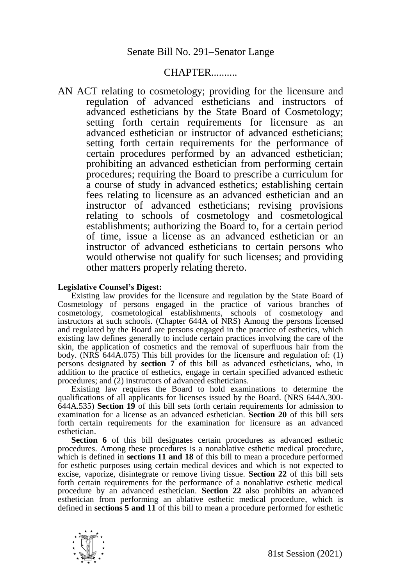## CHAPTER..........

AN ACT relating to cosmetology; providing for the licensure and regulation of advanced estheticians and instructors of advanced estheticians by the State Board of Cosmetology; setting forth certain requirements for licensure as an advanced esthetician or instructor of advanced estheticians; setting forth certain requirements for the performance of certain procedures performed by an advanced esthetician; prohibiting an advanced esthetician from performing certain procedures; requiring the Board to prescribe a curriculum for a course of study in advanced esthetics; establishing certain fees relating to licensure as an advanced esthetician and an instructor of advanced estheticians; revising provisions relating to schools of cosmetology and cosmetological establishments; authorizing the Board to, for a certain period of time, issue a license as an advanced esthetician or an instructor of advanced estheticians to certain persons who would otherwise not qualify for such licenses; and providing other matters properly relating thereto.

## **Legislative Counsel's Digest:**

Existing law provides for the licensure and regulation by the State Board of Cosmetology of persons engaged in the practice of various branches of cosmetology, cosmetological establishments, schools of cosmetology and instructors at such schools. (Chapter 644A of NRS) Among the persons licensed and regulated by the Board are persons engaged in the practice of esthetics, which existing law defines generally to include certain practices involving the care of the skin, the application of cosmetics and the removal of superfluous hair from the body. (NRS 644A.075) This bill provides for the licensure and regulation of: (1) persons designated by **section 7** of this bill as advanced estheticians, who, in addition to the practice of esthetics, engage in certain specified advanced esthetic procedures; and (2) instructors of advanced estheticians.

Existing law requires the Board to hold examinations to determine the qualifications of all applicants for licenses issued by the Board. (NRS 644A.300- 644A.535) **Section 19** of this bill sets forth certain requirements for admission to examination for a license as an advanced esthetician. **Section 20** of this bill sets forth certain requirements for the examination for licensure as an advanced esthetician.

**Section 6** of this bill designates certain procedures as advanced esthetic procedures. Among these procedures is a nonablative esthetic medical procedure, which is defined in **sections 11 and 18** of this bill to mean a procedure performed for esthetic purposes using certain medical devices and which is not expected to excise, vaporize, disintegrate or remove living tissue. **Section 22** of this bill sets forth certain requirements for the performance of a nonablative esthetic medical procedure by an advanced esthetician. **Section 22** also prohibits an advanced esthetician from performing an ablative esthetic medical procedure, which is defined in **sections 5 and 11** of this bill to mean a procedure performed for esthetic

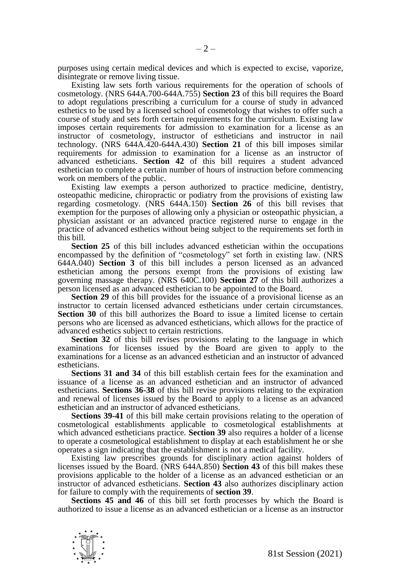purposes using certain medical devices and which is expected to excise, vaporize, disintegrate or remove living tissue.

Existing law sets forth various requirements for the operation of schools of cosmetology. (NRS 644A.700-644A.755) **Section 23** of this bill requires the Board to adopt regulations prescribing a curriculum for a course of study in advanced esthetics to be used by a licensed school of cosmetology that wishes to offer such a course of study and sets forth certain requirements for the curriculum. Existing law imposes certain requirements for admission to examination for a license as an instructor of cosmetology, instructor of estheticians and instructor in nail technology. (NRS 644A.420-644A.430) **Section 21** of this bill imposes similar requirements for admission to examination for a license as an instructor of advanced estheticians. **Section 42** of this bill requires a student advanced esthetician to complete a certain number of hours of instruction before commencing work on members of the public.

Existing law exempts a person authorized to practice medicine, dentistry, osteopathic medicine, chiropractic or podiatry from the provisions of existing law regarding cosmetology. (NRS 644A.150) **Section 26** of this bill revises that exemption for the purposes of allowing only a physician or osteopathic physician, a physician assistant or an advanced practice registered nurse to engage in the practice of advanced esthetics without being subject to the requirements set forth in this bill.

**Section 25** of this bill includes advanced esthetician within the occupations encompassed by the definition of "cosmetology" set forth in existing law. (NRS 644A.040) **Section 3** of this bill includes a person licensed as an advanced esthetician among the persons exempt from the provisions of existing law governing massage therapy. (NRS 640C.100) **Section 27** of this bill authorizes a person licensed as an advanced esthetician to be appointed to the Board.

**Section 29** of this bill provides for the issuance of a provisional license as an instructor to certain licensed advanced estheticians under certain circumstances. **Section 30** of this bill authorizes the Board to issue a limited license to certain persons who are licensed as advanced estheticians, which allows for the practice of advanced esthetics subject to certain restrictions.

**Section 32** of this bill revises provisions relating to the language in which examinations for licenses issued by the Board are given to apply to the examinations for a license as an advanced esthetician and an instructor of advanced estheticians.

**Sections 31 and 34** of this bill establish certain fees for the examination and issuance of a license as an advanced esthetician and an instructor of advanced estheticians. **Sections 36-38** of this bill revise provisions relating to the expiration and renewal of licenses issued by the Board to apply to a license as an advanced esthetician and an instructor of advanced estheticians.

**Sections 39-41** of this bill make certain provisions relating to the operation of cosmetological establishments applicable to cosmetological establishments at which advanced estheticians practice. **Section 39** also requires a holder of a license to operate a cosmetological establishment to display at each establishment he or she operates a sign indicating that the establishment is not a medical facility.

Existing law prescribes grounds for disciplinary action against holders of licenses issued by the Board. (NRS 644A.850) **Section 43** of this bill makes these provisions applicable to the holder of a license as an advanced esthetician or an instructor of advanced estheticians. **Section 43** also authorizes disciplinary action for failure to comply with the requirements of **section 39**.

**Sections 45 and 46** of this bill set forth processes by which the Board is authorized to issue a license as an advanced esthetician or a license as an instructor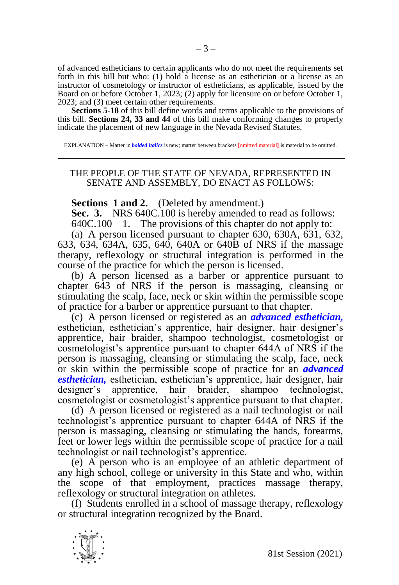of advanced estheticians to certain applicants who do not meet the requirements set forth in this bill but who: (1) hold a license as an esthetician or a license as an instructor of cosmetology or instructor of estheticians, as applicable, issued by the Board on or before October 1, 2023; (2) apply for licensure on or before October 1, 2023; and (3) meet certain other requirements.

**Sections 5-18** of this bill define words and terms applicable to the provisions of this bill. **Sections 24, 33 and 44** of this bill make conforming changes to properly indicate the placement of new language in the Nevada Revised Statutes.

EXPLANATION – Matter in *bolded italics* is new; matter between brackets **[omitted material]** is material to be omitted.

## THE PEOPLE OF THE STATE OF NEVADA, REPRESENTED IN SENATE AND ASSEMBLY, DO ENACT AS FOLLOWS:

**Sections 1 and 2.** (Deleted by amendment.)

**Sec. 3.** NRS 640C.100 is hereby amended to read as follows: 640C.100 1. The provisions of this chapter do not apply to:

(a) A person licensed pursuant to chapter 630, 630A, 631, 632, 633, 634, 634A, 635, 640, 640A or 640B of NRS if the massage therapy, reflexology or structural integration is performed in the course of the practice for which the person is licensed.

(b) A person licensed as a barber or apprentice pursuant to chapter 643 of NRS if the person is massaging, cleansing or stimulating the scalp, face, neck or skin within the permissible scope of practice for a barber or apprentice pursuant to that chapter.

(c) A person licensed or registered as an *advanced esthetician,*  esthetician, esthetician's apprentice, hair designer, hair designer's apprentice, hair braider, shampoo technologist, cosmetologist or cosmetologist's apprentice pursuant to chapter 644A of NRS if the person is massaging, cleansing or stimulating the scalp, face, neck or skin within the permissible scope of practice for an *advanced esthetician,* esthetician, esthetician's apprentice, hair designer, hair designer's apprentice, hair braider, shampoo technologist, cosmetologist or cosmetologist's apprentice pursuant to that chapter.

(d) A person licensed or registered as a nail technologist or nail technologist's apprentice pursuant to chapter 644A of NRS if the person is massaging, cleansing or stimulating the hands, forearms, feet or lower legs within the permissible scope of practice for a nail technologist or nail technologist's apprentice.

(e) A person who is an employee of an athletic department of any high school, college or university in this State and who, within the scope of that employment, practices massage therapy, reflexology or structural integration on athletes.

(f) Students enrolled in a school of massage therapy, reflexology or structural integration recognized by the Board.

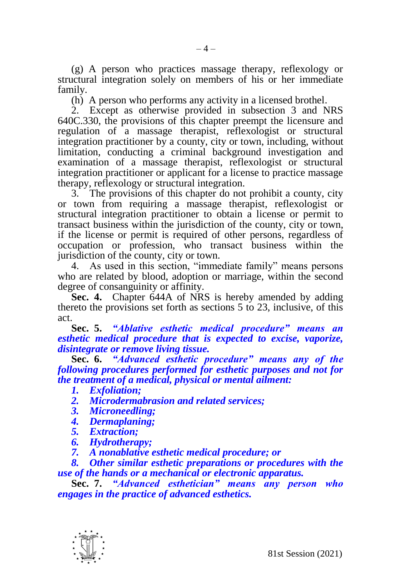(g) A person who practices massage therapy, reflexology or structural integration solely on members of his or her immediate family.

 $-4-$ 

(h) A person who performs any activity in a licensed brothel.

2. Except as otherwise provided in subsection 3 and NRS 640C.330, the provisions of this chapter preempt the licensure and regulation of a massage therapist, reflexologist or structural integration practitioner by a county, city or town, including, without limitation, conducting a criminal background investigation and examination of a massage therapist, reflexologist or structural integration practitioner or applicant for a license to practice massage therapy, reflexology or structural integration.

3. The provisions of this chapter do not prohibit a county, city or town from requiring a massage therapist, reflexologist or structural integration practitioner to obtain a license or permit to transact business within the jurisdiction of the county, city or town, if the license or permit is required of other persons, regardless of occupation or profession, who transact business within the jurisdiction of the county, city or town.

4. As used in this section, "immediate family" means persons who are related by blood, adoption or marriage, within the second degree of consanguinity or affinity.

**Sec. 4.** Chapter 644A of NRS is hereby amended by adding thereto the provisions set forth as sections 5 to 23, inclusive, of this act.

**Sec. 5.** *"Ablative esthetic medical procedure" means an esthetic medical procedure that is expected to excise, vaporize, disintegrate or remove living tissue.*

**Sec. 6.** *"Advanced esthetic procedure" means any of the following procedures performed for esthetic purposes and not for the treatment of a medical, physical or mental ailment:*

- *1. Exfoliation;*
- *2. Microdermabrasion and related services;*
- *3. Microneedling;*
- *4. Dermaplaning;*
- *5. Extraction;*
- *6. Hydrotherapy;*
- *7. A nonablative esthetic medical procedure; or*

## *8. Other similar esthetic preparations or procedures with the use of the hands or a mechanical or electronic apparatus.*

**Sec. 7.** *"Advanced esthetician" means any person who engages in the practice of advanced esthetics.*

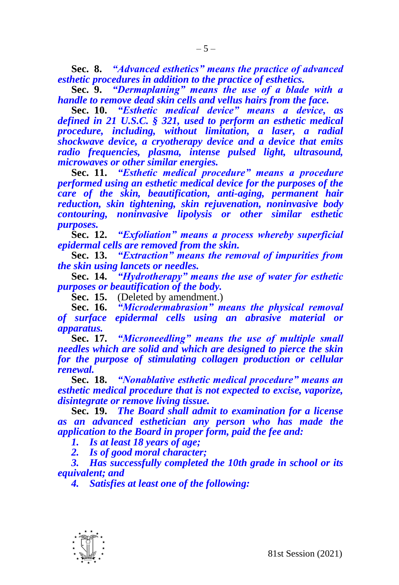**Sec. 8.** *"Advanced esthetics" means the practice of advanced esthetic procedures in addition to the practice of esthetics.*

**Sec. 9.** *"Dermaplaning" means the use of a blade with a handle to remove dead skin cells and vellus hairs from the face.*

**Sec. 10.** *"Esthetic medical device" means a device, as defined in 21 U.S.C. § 321, used to perform an esthetic medical procedure, including, without limitation, a laser, a radial shockwave device, a cryotherapy device and a device that emits radio frequencies, plasma, intense pulsed light, ultrasound, microwaves or other similar energies.* 

**Sec. 11.** *"Esthetic medical procedure" means a procedure performed using an esthetic medical device for the purposes of the care of the skin, beautification, anti-aging, permanent hair reduction, skin tightening, skin rejuvenation, noninvasive body contouring, noninvasive lipolysis or other similar esthetic purposes.*

**Sec. 12.** *"Exfoliation" means a process whereby superficial epidermal cells are removed from the skin.*

**Sec. 13.** *"Extraction" means the removal of impurities from the skin using lancets or needles.*

**Sec. 14.** *"Hydrotherapy" means the use of water for esthetic purposes or beautification of the body.*

**Sec. 15.** (Deleted by amendment.)

**Sec. 16.** *"Microdermabrasion" means the physical removal of surface epidermal cells using an abrasive material or apparatus.*

**Sec. 17.** *"Microneedling" means the use of multiple small needles which are solid and which are designed to pierce the skin for the purpose of stimulating collagen production or cellular renewal.*

**Sec. 18.** *"Nonablative esthetic medical procedure" means an esthetic medical procedure that is not expected to excise, vaporize, disintegrate or remove living tissue.*

**Sec. 19.** *The Board shall admit to examination for a license as an advanced esthetician any person who has made the application to the Board in proper form, paid the fee and:*

*1. Is at least 18 years of age;*

*2. Is of good moral character;*

*3. Has successfully completed the 10th grade in school or its equivalent; and*

*4. Satisfies at least one of the following:*

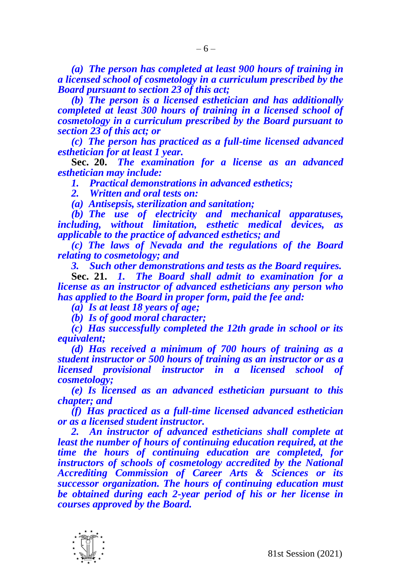*(a) The person has completed at least 900 hours of training in a licensed school of cosmetology in a curriculum prescribed by the Board pursuant to section 23 of this act;*

*(b) The person is a licensed esthetician and has additionally completed at least 300 hours of training in a licensed school of cosmetology in a curriculum prescribed by the Board pursuant to section 23 of this act; or*

*(c) The person has practiced as a full-time licensed advanced esthetician for at least 1 year.*

**Sec. 20.** *The examination for a license as an advanced esthetician may include:*

*1. Practical demonstrations in advanced esthetics;* 

*2. Written and oral tests on:*

*(a) Antisepsis, sterilization and sanitation;*

*(b) The use of electricity and mechanical apparatuses, including, without limitation, esthetic medical devices, as applicable to the practice of advanced esthetics; and*

*(c) The laws of Nevada and the regulations of the Board relating to cosmetology; and*

*3. Such other demonstrations and tests as the Board requires.*

**Sec. 21.** *1. The Board shall admit to examination for a license as an instructor of advanced estheticians any person who has applied to the Board in proper form, paid the fee and:*

*(a) Is at least 18 years of age;*

*(b) Is of good moral character;*

*(c) Has successfully completed the 12th grade in school or its equivalent;*

*(d) Has received a minimum of 700 hours of training as a student instructor or 500 hours of training as an instructor or as a licensed provisional instructor in a licensed school of cosmetology;*

*(e) Is licensed as an advanced esthetician pursuant to this chapter; and*

*(f) Has practiced as a full-time licensed advanced esthetician or as a licensed student instructor.*

*2. An instructor of advanced estheticians shall complete at least the number of hours of continuing education required, at the time the hours of continuing education are completed, for instructors of schools of cosmetology accredited by the National Accrediting Commission of Career Arts & Sciences or its successor organization. The hours of continuing education must be obtained during each 2-year period of his or her license in courses approved by the Board.*

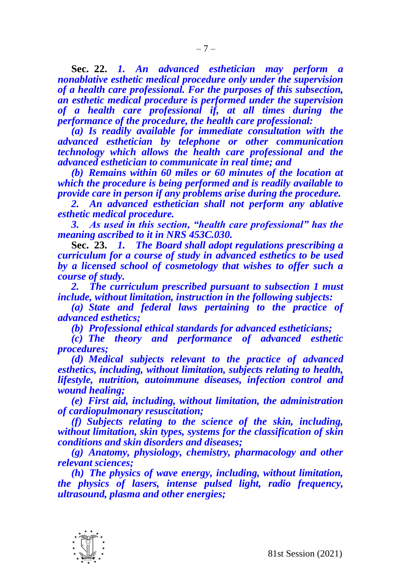**Sec. 22.** *1. An advanced esthetician may perform a nonablative esthetic medical procedure only under the supervision of a health care professional. For the purposes of this subsection, an esthetic medical procedure is performed under the supervision of a health care professional if, at all times during the performance of the procedure, the health care professional:*

*(a) Is readily available for immediate consultation with the advanced esthetician by telephone or other communication technology which allows the health care professional and the advanced esthetician to communicate in real time; and*

*(b) Remains within 60 miles or 60 minutes of the location at which the procedure is being performed and is readily available to provide care in person if any problems arise during the procedure.*

*2. An advanced esthetician shall not perform any ablative esthetic medical procedure.*

*3. As used in this section, "health care professional" has the meaning ascribed to it in NRS 453C.030.*

**Sec. 23.** *1. The Board shall adopt regulations prescribing a curriculum for a course of study in advanced esthetics to be used by a licensed school of cosmetology that wishes to offer such a course of study.* 

*2. The curriculum prescribed pursuant to subsection 1 must include, without limitation, instruction in the following subjects:*

*(a) State and federal laws pertaining to the practice of advanced esthetics;*

*(b) Professional ethical standards for advanced estheticians;*

*(c) The theory and performance of advanced esthetic procedures;*

*(d) Medical subjects relevant to the practice of advanced esthetics, including, without limitation, subjects relating to health, lifestyle, nutrition, autoimmune diseases, infection control and wound healing;* 

*(e) First aid, including, without limitation, the administration of cardiopulmonary resuscitation;*

*(f) Subjects relating to the science of the skin, including, without limitation, skin types, systems for the classification of skin conditions and skin disorders and diseases;*

*(g) Anatomy, physiology, chemistry, pharmacology and other relevant sciences;*

*(h) The physics of wave energy, including, without limitation, the physics of lasers, intense pulsed light, radio frequency, ultrasound, plasma and other energies;*

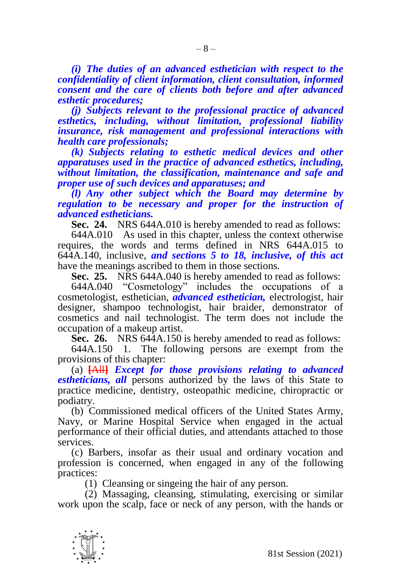*(i) The duties of an advanced esthetician with respect to the confidentiality of client information, client consultation, informed consent and the care of clients both before and after advanced esthetic procedures;*

*(j) Subjects relevant to the professional practice of advanced esthetics, including, without limitation, professional liability insurance, risk management and professional interactions with health care professionals;*

*(k) Subjects relating to esthetic medical devices and other apparatuses used in the practice of advanced esthetics, including, without limitation, the classification, maintenance and safe and proper use of such devices and apparatuses; and*

*(l) Any other subject which the Board may determine by regulation to be necessary and proper for the instruction of advanced estheticians.*

**Sec. 24.** NRS 644A.010 is hereby amended to read as follows:

644A.010 As used in this chapter, unless the context otherwise requires, the words and terms defined in NRS 644A.015 to 644A.140, inclusive, *and sections 5 to 18, inclusive, of this act* have the meanings ascribed to them in those sections.

**Sec. 25.** NRS 644A.040 is hereby amended to read as follows:

644A.040 "Cosmetology" includes the occupations of a cosmetologist, esthetician, *advanced esthetician,* electrologist, hair designer, shampoo technologist, hair braider, demonstrator of cosmetics and nail technologist. The term does not include the occupation of a makeup artist.

**Sec. 26.** NRS 644A.150 is hereby amended to read as follows:

644A.150 1. The following persons are exempt from the provisions of this chapter:

(a) **[**All**]** *Except for those provisions relating to advanced estheticians, all* persons authorized by the laws of this State to practice medicine, dentistry, osteopathic medicine, chiropractic or podiatry.

(b) Commissioned medical officers of the United States Army, Navy, or Marine Hospital Service when engaged in the actual performance of their official duties, and attendants attached to those services.

(c) Barbers, insofar as their usual and ordinary vocation and profession is concerned, when engaged in any of the following practices:

(1) Cleansing or singeing the hair of any person.

(2) Massaging, cleansing, stimulating, exercising or similar work upon the scalp, face or neck of any person, with the hands or

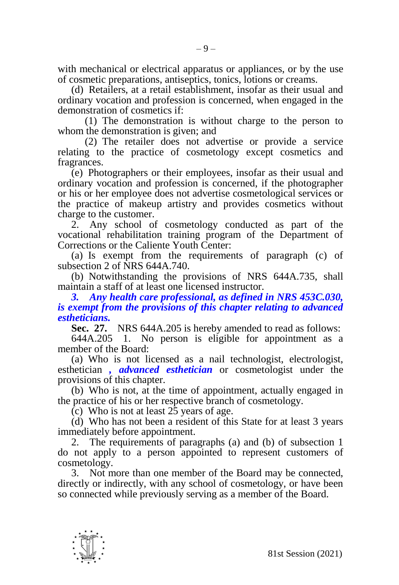with mechanical or electrical apparatus or appliances, or by the use of cosmetic preparations, antiseptics, tonics, lotions or creams.

(d) Retailers, at a retail establishment, insofar as their usual and ordinary vocation and profession is concerned, when engaged in the demonstration of cosmetics if:

(1) The demonstration is without charge to the person to whom the demonstration is given; and

(2) The retailer does not advertise or provide a service relating to the practice of cosmetology except cosmetics and fragrances.

(e) Photographers or their employees, insofar as their usual and ordinary vocation and profession is concerned, if the photographer or his or her employee does not advertise cosmetological services or the practice of makeup artistry and provides cosmetics without charge to the customer.

2. Any school of cosmetology conducted as part of the vocational rehabilitation training program of the Department of Corrections or the Caliente Youth Center:

(a) Is exempt from the requirements of paragraph (c) of subsection 2 of NRS 644A.740.

(b) Notwithstanding the provisions of NRS 644A.735, shall maintain a staff of at least one licensed instructor.

*3. Any health care professional, as defined in NRS 453C.030, is exempt from the provisions of this chapter relating to advanced estheticians.*

**Sec. 27.** NRS 644A.205 is hereby amended to read as follows:

644A.205 1. No person is eligible for appointment as a member of the Board:

(a) Who is not licensed as a nail technologist, electrologist, esthetician *, advanced esthetician* or cosmetologist under the provisions of this chapter.

(b) Who is not, at the time of appointment, actually engaged in the practice of his or her respective branch of cosmetology.

 $(c)$  Who is not at least  $25$  years of age.

(d) Who has not been a resident of this State for at least 3 years immediately before appointment.

2. The requirements of paragraphs (a) and (b) of subsection 1 do not apply to a person appointed to represent customers of cosmetology.

3. Not more than one member of the Board may be connected, directly or indirectly, with any school of cosmetology, or have been so connected while previously serving as a member of the Board.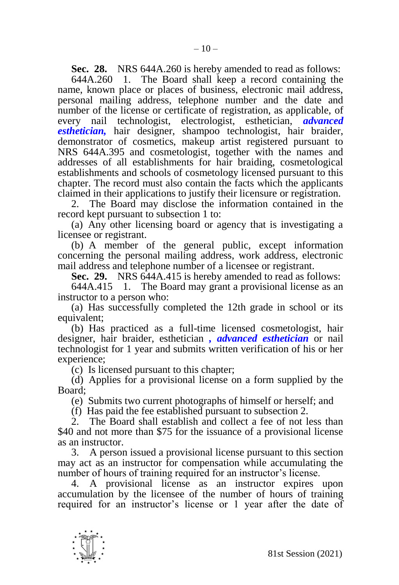**Sec. 28.** NRS 644A.260 is hereby amended to read as follows: 644A.260 1. The Board shall keep a record containing the The Board shall keep a record containing the name, known place or places of business, electronic mail address, personal mailing address, telephone number and the date and number of the license or certificate of registration, as applicable, of every nail technologist, electrologist, esthetician, *advanced esthetician,* hair designer, shampoo technologist, hair braider, demonstrator of cosmetics, makeup artist registered pursuant to NRS 644A.395 and cosmetologist, together with the names and addresses of all establishments for hair braiding, cosmetological establishments and schools of cosmetology licensed pursuant to this chapter. The record must also contain the facts which the applicants claimed in their applications to justify their licensure or registration.

2. The Board may disclose the information contained in the record kept pursuant to subsection 1 to:

(a) Any other licensing board or agency that is investigating a licensee or registrant.

(b) A member of the general public, except information concerning the personal mailing address, work address, electronic mail address and telephone number of a licensee or registrant.

**Sec. 29.** NRS 644A.415 is hereby amended to read as follows:

644A.415 1. The Board may grant a provisional license as an instructor to a person who:

(a) Has successfully completed the 12th grade in school or its equivalent:

(b) Has practiced as a full-time licensed cosmetologist, hair designer, hair braider, esthetician *, advanced esthetician* or nail technologist for 1 year and submits written verification of his or her experience;

(c) Is licensed pursuant to this chapter;

(d) Applies for a provisional license on a form supplied by the Board;

(e) Submits two current photographs of himself or herself; and

(f) Has paid the fee established pursuant to subsection 2.

2. The Board shall establish and collect a fee of not less than \$40 and not more than \$75 for the issuance of a provisional license as an instructor.

3. A person issued a provisional license pursuant to this section may act as an instructor for compensation while accumulating the number of hours of training required for an instructor's license.

4. A provisional license as an instructor expires upon accumulation by the licensee of the number of hours of training required for an instructor's license or 1 year after the date of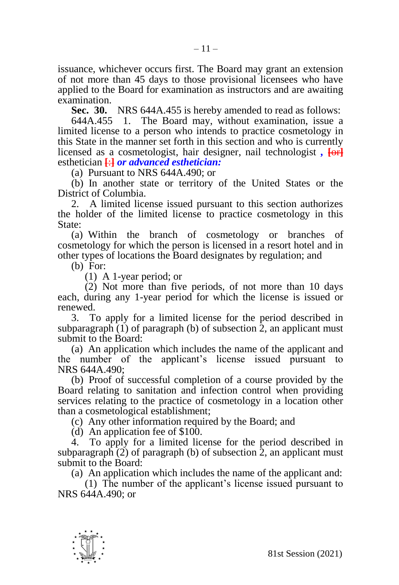issuance, whichever occurs first. The Board may grant an extension of not more than 45 days to those provisional licensees who have applied to the Board for examination as instructors and are awaiting examination.

**Sec. 30.** NRS 644A.455 is hereby amended to read as follows:

644A.455 1. The Board may, without examination, issue a limited license to a person who intends to practice cosmetology in this State in the manner set forth in this section and who is currently licensed as a cosmetologist, hair designer, nail technologist *,* **[**or**]** esthetician **[**:**]** *or advanced esthetician:*

(a) Pursuant to NRS 644A.490; or

(b) In another state or territory of the United States or the District of Columbia.

2. A limited license issued pursuant to this section authorizes the holder of the limited license to practice cosmetology in this State<sup>.</sup>

(a) Within the branch of cosmetology or branches of cosmetology for which the person is licensed in a resort hotel and in other types of locations the Board designates by regulation; and

(b) For:

(1) A 1-year period; or

(2) Not more than five periods, of not more than 10 days each, during any 1-year period for which the license is issued or renewed.

3. To apply for a limited license for the period described in subparagraph  $(1)$  of paragraph (b) of subsection 2, an applicant must submit to the Board:

(a) An application which includes the name of the applicant and the number of the applicant's license issued pursuant to NRS 644A.490;

(b) Proof of successful completion of a course provided by the Board relating to sanitation and infection control when providing services relating to the practice of cosmetology in a location other than a cosmetological establishment;

(c) Any other information required by the Board; and

(d) An application fee of \$100.

4. To apply for a limited license for the period described in subparagraph (2) of paragraph (b) of subsection 2, an applicant must submit to the Board:

(a) An application which includes the name of the applicant and:

(1) The number of the applicant's license issued pursuant to NRS 644A.490; or

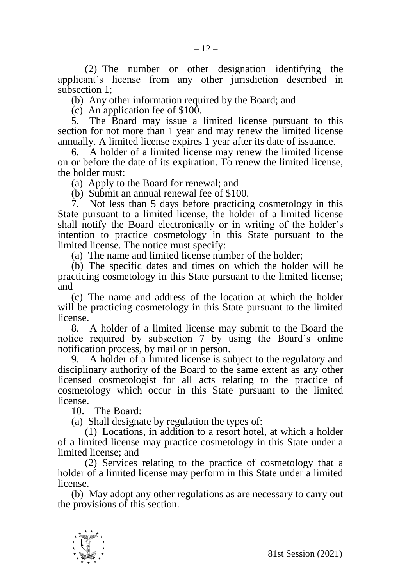(2) The number or other designation identifying the applicant's license from any other jurisdiction described in subsection 1;

(b) Any other information required by the Board; and

(c) An application fee of \$100.

5. The Board may issue a limited license pursuant to this section for not more than 1 year and may renew the limited license annually. A limited license expires 1 year after its date of issuance.

6. A holder of a limited license may renew the limited license on or before the date of its expiration. To renew the limited license, the holder must:

(a) Apply to the Board for renewal; and

(b) Submit an annual renewal fee of \$100.

7. Not less than 5 days before practicing cosmetology in this State pursuant to a limited license, the holder of a limited license shall notify the Board electronically or in writing of the holder's intention to practice cosmetology in this State pursuant to the limited license. The notice must specify:

(a) The name and limited license number of the holder;

(b) The specific dates and times on which the holder will be practicing cosmetology in this State pursuant to the limited license; and

(c) The name and address of the location at which the holder will be practicing cosmetology in this State pursuant to the limited license.

8. A holder of a limited license may submit to the Board the notice required by subsection 7 by using the Board's online notification process, by mail or in person.

9. A holder of a limited license is subject to the regulatory and disciplinary authority of the Board to the same extent as any other licensed cosmetologist for all acts relating to the practice of cosmetology which occur in this State pursuant to the limited license.

10. The Board:

(a) Shall designate by regulation the types of:

(1) Locations, in addition to a resort hotel, at which a holder of a limited license may practice cosmetology in this State under a limited license; and

(2) Services relating to the practice of cosmetology that a holder of a limited license may perform in this State under a limited license.

(b) May adopt any other regulations as are necessary to carry out the provisions of this section.

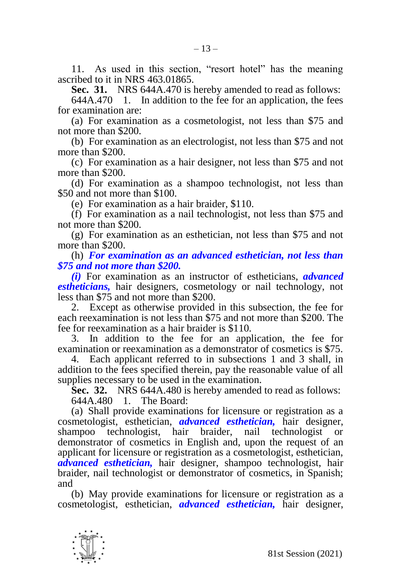11. As used in this section, "resort hotel" has the meaning ascribed to it in NRS 463.01865.

**Sec. 31.** NRS 644A.470 is hereby amended to read as follows:

644A.470 1. In addition to the fee for an application, the fees for examination are:

(a) For examination as a cosmetologist, not less than \$75 and not more than \$200.

(b) For examination as an electrologist, not less than \$75 and not more than \$200.

(c) For examination as a hair designer, not less than \$75 and not more than \$200.

(d) For examination as a shampoo technologist, not less than \$50 and not more than \$100.

(e) For examination as a hair braider, \$110.

(f) For examination as a nail technologist, not less than \$75 and not more than \$200.

(g) For examination as an esthetician, not less than \$75 and not more than \$200.

(h) *For examination as an advanced esthetician, not less than \$75 and not more than \$200.*

*(i)* For examination as an instructor of estheticians, *advanced estheticians,* hair designers, cosmetology or nail technology, not less than \$75 and not more than \$200.

2. Except as otherwise provided in this subsection, the fee for each reexamination is not less than \$75 and not more than \$200. The fee for reexamination as a hair braider is \$110.

3. In addition to the fee for an application, the fee for examination or reexamination as a demonstrator of cosmetics is \$75.

4. Each applicant referred to in subsections 1 and 3 shall, in addition to the fees specified therein, pay the reasonable value of all supplies necessary to be used in the examination.

**Sec. 32.** NRS 644A.480 is hereby amended to read as follows: 644A.480 1. The Board:

(a) Shall provide examinations for licensure or registration as a cosmetologist, esthetician, *advanced esthetician,* hair designer, shampoo technologist, hair braider, nail technologist or demonstrator of cosmetics in English and, upon the request of an applicant for licensure or registration as a cosmetologist, esthetician, *advanced esthetician,* hair designer, shampoo technologist, hair braider, nail technologist or demonstrator of cosmetics, in Spanish; and

(b) May provide examinations for licensure or registration as a cosmetologist, esthetician, *advanced esthetician,* hair designer,

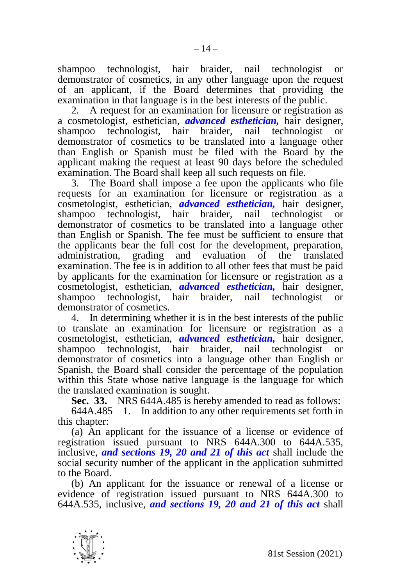shampoo technologist, hair braider, nail technologist or demonstrator of cosmetics, in any other language upon the request of an applicant, if the Board determines that providing the examination in that language is in the best interests of the public.

2. A request for an examination for licensure or registration as a cosmetologist, esthetician, *advanced esthetician,* hair designer, shampoo technologist, hair braider, nail technologist or demonstrator of cosmetics to be translated into a language other than English or Spanish must be filed with the Board by the applicant making the request at least 90 days before the scheduled examination. The Board shall keep all such requests on file.

3. The Board shall impose a fee upon the applicants who file requests for an examination for licensure or registration as a cosmetologist, esthetician, *advanced esthetician,* hair designer, shampoo technologist, hair braider, demonstrator of cosmetics to be translated into a language other than English or Spanish. The fee must be sufficient to ensure that the applicants bear the full cost for the development, preparation, administration. grading and evaluation of the translated grading and evaluation of the translated examination. The fee is in addition to all other fees that must be paid by applicants for the examination for licensure or registration as a cosmetologist, esthetician, *advanced esthetician,* hair designer, shampoo technologist, hair braider, nail technologist or demonstrator of cosmetics.

4. In determining whether it is in the best interests of the public to translate an examination for licensure or registration as a cosmetologist, esthetician, *advanced esthetician,* hair designer, shampoo technologist, hair braider, nail technologist or demonstrator of cosmetics into a language other than English or Spanish, the Board shall consider the percentage of the population within this State whose native language is the language for which the translated examination is sought.

**Sec. 33.** NRS 644A.485 is hereby amended to read as follows:

644A.485 1. In addition to any other requirements set forth in this chapter:

(a) An applicant for the issuance of a license or evidence of registration issued pursuant to NRS 644A.300 to 644A.535, inclusive, *and sections 19, 20 and 21 of this act* shall include the social security number of the applicant in the application submitted to the Board.

(b) An applicant for the issuance or renewal of a license or evidence of registration issued pursuant to NRS 644A.300 to 644A.535, inclusive, *and sections 19, 20 and 21 of this act* shall

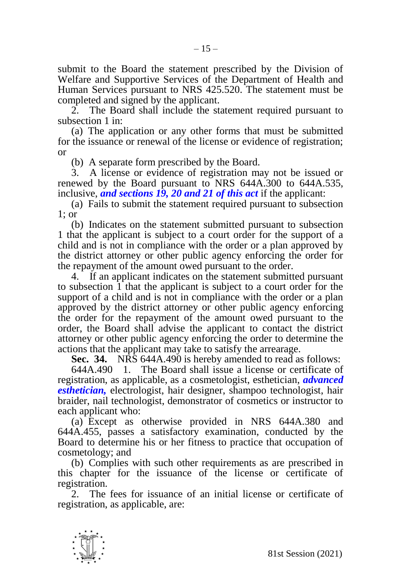submit to the Board the statement prescribed by the Division of Welfare and Supportive Services of the Department of Health and Human Services pursuant to NRS 425.520. The statement must be completed and signed by the applicant.

2. The Board shall include the statement required pursuant to subsection 1 in:

(a) The application or any other forms that must be submitted for the issuance or renewal of the license or evidence of registration; or

(b) A separate form prescribed by the Board.

3. A license or evidence of registration may not be issued or renewed by the Board pursuant to NRS 644A.300 to 644A.535, inclusive, *and sections 19, 20 and 21 of this act* if the applicant:

(a) Fails to submit the statement required pursuant to subsection 1; or

(b) Indicates on the statement submitted pursuant to subsection 1 that the applicant is subject to a court order for the support of a child and is not in compliance with the order or a plan approved by the district attorney or other public agency enforcing the order for the repayment of the amount owed pursuant to the order.

4. If an applicant indicates on the statement submitted pursuant to subsection  $\overline{1}$  that the applicant is subject to a court order for the support of a child and is not in compliance with the order or a plan approved by the district attorney or other public agency enforcing the order for the repayment of the amount owed pursuant to the order, the Board shall advise the applicant to contact the district attorney or other public agency enforcing the order to determine the actions that the applicant may take to satisfy the arrearage.

**Sec. 34.** NRS 644A.490 is hereby amended to read as follows:

644A.490 1. The Board shall issue a license or certificate of registration, as applicable, as a cosmetologist, esthetician, *advanced esthetician,* electrologist, hair designer, shampoo technologist, hair braider, nail technologist, demonstrator of cosmetics or instructor to each applicant who:

(a) Except as otherwise provided in NRS 644A.380 and 644A.455, passes a satisfactory examination, conducted by the Board to determine his or her fitness to practice that occupation of cosmetology; and

(b) Complies with such other requirements as are prescribed in this chapter for the issuance of the license or certificate of registration.

2. The fees for issuance of an initial license or certificate of registration, as applicable, are:

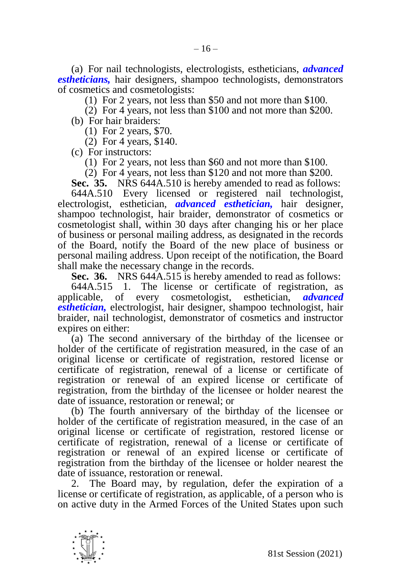(a) For nail technologists, electrologists, estheticians, *advanced estheticians,* hair designers, shampoo technologists, demonstrators of cosmetics and cosmetologists:

(1) For 2 years, not less than \$50 and not more than \$100.

(2) For 4 years, not less than \$100 and not more than \$200.

(b) For hair braiders:

(1) For 2 years, \$70.

(2) For 4 years, \$140.

(c) For instructors:

(1) For 2 years, not less than \$60 and not more than \$100.

(2) For 4 years, not less than \$120 and not more than \$200.

**Sec. 35.** NRS 644A.510 is hereby amended to read as follows:

644A.510 Every licensed or registered nail technologist, electrologist, esthetician, *advanced esthetician,* hair designer, shampoo technologist, hair braider, demonstrator of cosmetics or cosmetologist shall, within 30 days after changing his or her place of business or personal mailing address, as designated in the records of the Board, notify the Board of the new place of business or personal mailing address. Upon receipt of the notification, the Board shall make the necessary change in the records.

**Sec. 36.** NRS 644A.515 is hereby amended to read as follows:

644A.515 1. The license or certificate of registration, as applicable, of every cosmetologist, esthetician, *advanced esthetician,* electrologist, hair designer, shampoo technologist, hair braider, nail technologist, demonstrator of cosmetics and instructor expires on either:

(a) The second anniversary of the birthday of the licensee or holder of the certificate of registration measured, in the case of an original license or certificate of registration, restored license or certificate of registration, renewal of a license or certificate of registration or renewal of an expired license or certificate of registration, from the birthday of the licensee or holder nearest the date of issuance, restoration or renewal; or

(b) The fourth anniversary of the birthday of the licensee or holder of the certificate of registration measured, in the case of an original license or certificate of registration, restored license or certificate of registration, renewal of a license or certificate of registration or renewal of an expired license or certificate of registration from the birthday of the licensee or holder nearest the date of issuance, restoration or renewal.

2. The Board may, by regulation, defer the expiration of a license or certificate of registration, as applicable, of a person who is on active duty in the Armed Forces of the United States upon such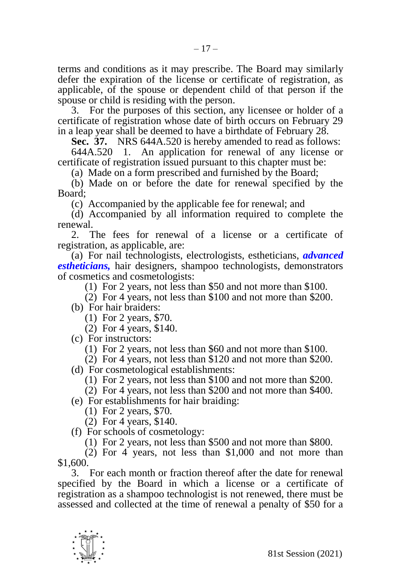terms and conditions as it may prescribe. The Board may similarly defer the expiration of the license or certificate of registration, as applicable, of the spouse or dependent child of that person if the spouse or child is residing with the person.

3. For the purposes of this section, any licensee or holder of a certificate of registration whose date of birth occurs on February 29 in a leap year shall be deemed to have a birthdate of February 28.

**Sec. 37.** NRS 644A.520 is hereby amended to read as follows:

644A.520 1. An application for renewal of any license or certificate of registration issued pursuant to this chapter must be:

(a) Made on a form prescribed and furnished by the Board;

(b) Made on or before the date for renewal specified by the Board;

(c) Accompanied by the applicable fee for renewal; and

(d) Accompanied by all information required to complete the renewal.

2. The fees for renewal of a license or a certificate of registration, as applicable, are:

(a) For nail technologists, electrologists, estheticians, *advanced estheticians,* hair designers, shampoo technologists, demonstrators of cosmetics and cosmetologists:

(1) For 2 years, not less than \$50 and not more than \$100.

(2) For 4 years, not less than \$100 and not more than \$200.

(b) For hair braiders:

(1) For 2 years, \$70.

(2) For 4 years, \$140.

(c) For instructors:

(1) For 2 years, not less than \$60 and not more than \$100.

(2) For 4 years, not less than \$120 and not more than \$200.

(d) For cosmetological establishments:

(1) For 2 years, not less than \$100 and not more than \$200.

(2) For 4 years, not less than \$200 and not more than \$400.

(e) For establishments for hair braiding:

(1) For 2 years, \$70.

(2) For 4 years, \$140.

(f) For schools of cosmetology:

(1) For 2 years, not less than \$500 and not more than \$800.

(2) For 4 years, not less than \$1,000 and not more than \$1,600.

3. For each month or fraction thereof after the date for renewal specified by the Board in which a license or a certificate of registration as a shampoo technologist is not renewed, there must be assessed and collected at the time of renewal a penalty of \$50 for a

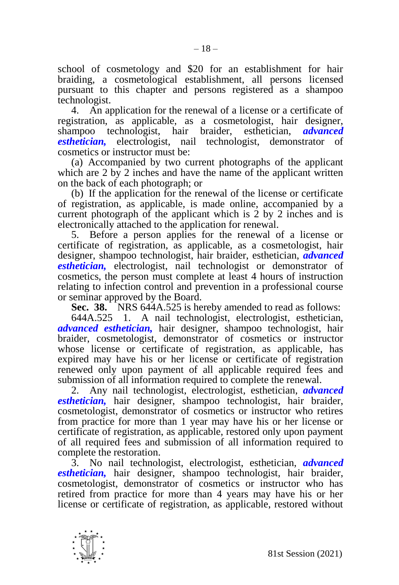school of cosmetology and \$20 for an establishment for hair braiding, a cosmetological establishment, all persons licensed pursuant to this chapter and persons registered as a shampoo technologist.

4. An application for the renewal of a license or a certificate of registration, as applicable, as a cosmetologist, hair designer, shampoo technologist, hair braider, esthetician, *advanced esthetician,* electrologist, nail technologist, demonstrator of cosmetics or instructor must be:

(a) Accompanied by two current photographs of the applicant which are 2 by 2 inches and have the name of the applicant written on the back of each photograph; or

(b) If the application for the renewal of the license or certificate of registration, as applicable, is made online, accompanied by a current photograph of the applicant which is 2 by 2 inches and is electronically attached to the application for renewal.

5. Before a person applies for the renewal of a license or certificate of registration, as applicable, as a cosmetologist, hair designer, shampoo technologist, hair braider, esthetician, *advanced esthetician,* electrologist, nail technologist or demonstrator of cosmetics, the person must complete at least 4 hours of instruction relating to infection control and prevention in a professional course or seminar approved by the Board.

**Sec. 38.** NRS 644A.525 is hereby amended to read as follows:

644A.525 1. A nail technologist, electrologist, esthetician, *advanced esthetician,* hair designer, shampoo technologist, hair braider, cosmetologist, demonstrator of cosmetics or instructor whose license or certificate of registration, as applicable, has expired may have his or her license or certificate of registration renewed only upon payment of all applicable required fees and submission of all information required to complete the renewal.

2. Any nail technologist, electrologist, esthetician, *advanced esthetician,* hair designer, shampoo technologist, hair braider, cosmetologist, demonstrator of cosmetics or instructor who retires from practice for more than 1 year may have his or her license or certificate of registration, as applicable, restored only upon payment of all required fees and submission of all information required to complete the restoration.

3. No nail technologist, electrologist, esthetician, *advanced esthetician,* hair designer, shampoo technologist, hair braider, cosmetologist, demonstrator of cosmetics or instructor who has retired from practice for more than 4 years may have his or her license or certificate of registration, as applicable, restored without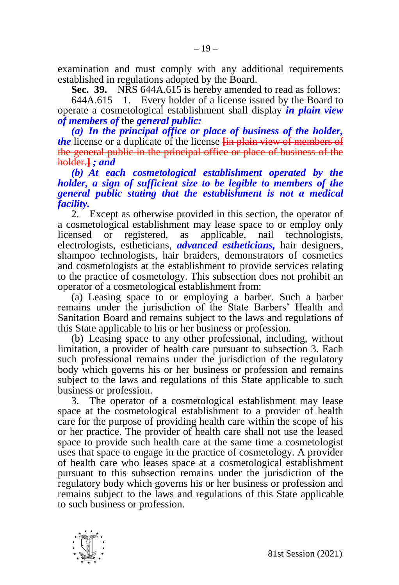examination and must comply with any additional requirements established in regulations adopted by the Board.

**Sec. 39.** NRS 644A.615 is hereby amended to read as follows:

644A.615 1. Every holder of a license issued by the Board to operate a cosmetological establishment shall display *in plain view of members of* the *general public:*

*(a) In the principal office or place of business of the holder, the* license or a duplicate of the license **[**in plain view of members of the general public in the principal office or place of business of the holder.**]** *; and*

*(b) At each cosmetological establishment operated by the holder, a sign of sufficient size to be legible to members of the general public stating that the establishment is not a medical facility.* 

2. Except as otherwise provided in this section, the operator of a cosmetological establishment may lease space to or employ only licensed or registered, as applicable, nail technologists, electrologists, estheticians, *advanced estheticians,* hair designers, shampoo technologists, hair braiders, demonstrators of cosmetics and cosmetologists at the establishment to provide services relating to the practice of cosmetology. This subsection does not prohibit an operator of a cosmetological establishment from:

(a) Leasing space to or employing a barber. Such a barber remains under the jurisdiction of the State Barbers' Health and Sanitation Board and remains subject to the laws and regulations of this State applicable to his or her business or profession.

(b) Leasing space to any other professional, including, without limitation, a provider of health care pursuant to subsection 3. Each such professional remains under the jurisdiction of the regulatory body which governs his or her business or profession and remains subject to the laws and regulations of this State applicable to such business or profession.

3. The operator of a cosmetological establishment may lease space at the cosmetological establishment to a provider of health care for the purpose of providing health care within the scope of his or her practice. The provider of health care shall not use the leased space to provide such health care at the same time a cosmetologist uses that space to engage in the practice of cosmetology. A provider of health care who leases space at a cosmetological establishment pursuant to this subsection remains under the jurisdiction of the regulatory body which governs his or her business or profession and remains subject to the laws and regulations of this State applicable to such business or profession.

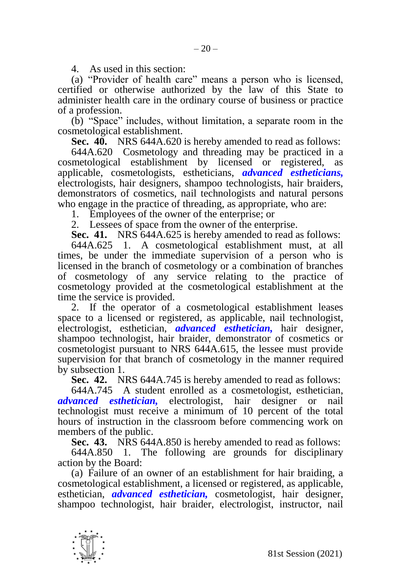4. As used in this section:

(a) "Provider of health care" means a person who is licensed, certified or otherwise authorized by the law of this State to administer health care in the ordinary course of business or practice of a profession.

(b) "Space" includes, without limitation, a separate room in the cosmetological establishment.

**Sec. 40.** NRS 644A.620 is hereby amended to read as follows:

644A.620 Cosmetology and threading may be practiced in a cosmetological establishment by licensed or registered, as applicable, cosmetologists, estheticians, *advanced estheticians,* electrologists, hair designers, shampoo technologists, hair braiders, demonstrators of cosmetics, nail technologists and natural persons who engage in the practice of threading, as appropriate, who are:

1. Employees of the owner of the enterprise; or

2. Lessees of space from the owner of the enterprise.

**Sec. 41.** NRS 644A.625 is hereby amended to read as follows:

644A.625 1. A cosmetological establishment must, at all times, be under the immediate supervision of a person who is licensed in the branch of cosmetology or a combination of branches of cosmetology of any service relating to the practice of cosmetology provided at the cosmetological establishment at the time the service is provided.

2. If the operator of a cosmetological establishment leases space to a licensed or registered, as applicable, nail technologist, electrologist, esthetician, *advanced esthetician,* hair designer, shampoo technologist, hair braider, demonstrator of cosmetics or cosmetologist pursuant to NRS 644A.615, the lessee must provide supervision for that branch of cosmetology in the manner required by subsection 1.

**Sec. 42.** NRS 644A.745 is hereby amended to read as follows:

644A.745 A student enrolled as a cosmetologist, esthetician, *advanced esthetician,* electrologist, hair designer or nail technologist must receive a minimum of 10 percent of the total hours of instruction in the classroom before commencing work on members of the public.

**Sec. 43.** NRS 644A.850 is hereby amended to read as follows:

644A.850 1. The following are grounds for disciplinary action by the Board:

(a) Failure of an owner of an establishment for hair braiding, a cosmetological establishment, a licensed or registered, as applicable, esthetician, *advanced esthetician,* cosmetologist, hair designer, shampoo technologist, hair braider, electrologist, instructor, nail

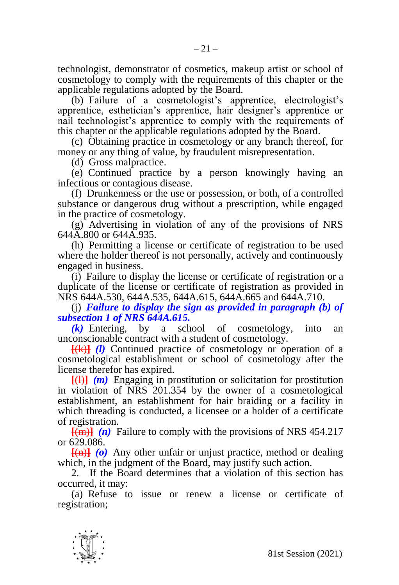technologist, demonstrator of cosmetics, makeup artist or school of cosmetology to comply with the requirements of this chapter or the applicable regulations adopted by the Board.

(b) Failure of a cosmetologist's apprentice, electrologist's apprentice, esthetician's apprentice, hair designer's apprentice or nail technologist's apprentice to comply with the requirements of this chapter or the applicable regulations adopted by the Board.

(c) Obtaining practice in cosmetology or any branch thereof, for money or any thing of value, by fraudulent misrepresentation.

(d) Gross malpractice.

(e) Continued practice by a person knowingly having an infectious or contagious disease.

(f) Drunkenness or the use or possession, or both, of a controlled substance or dangerous drug without a prescription, while engaged in the practice of cosmetology.

(g) Advertising in violation of any of the provisions of NRS 644A.800 or 644A.935.

(h) Permitting a license or certificate of registration to be used where the holder thereof is not personally, actively and continuously engaged in business.

(i) Failure to display the license or certificate of registration or a duplicate of the license or certificate of registration as provided in NRS 644A.530, 644A.535, 644A.615, 644A.665 and 644A.710.

(j) *Failure to display the sign as provided in paragraph (b) of subsection 1 of NRS 644A.615.*

*(k)* Entering, by a school of cosmetology, into an unconscionable contract with a student of cosmetology.

**[**(k)**]** *(l)* Continued practice of cosmetology or operation of a cosmetological establishment or school of cosmetology after the license therefor has expired.

**[**(l)**]** *(m)* Engaging in prostitution or solicitation for prostitution in violation of NRS 201.354 by the owner of a cosmetological establishment, an establishment for hair braiding or a facility in which threading is conducted, a licensee or a holder of a certificate of registration.

**[**(m)**]** *(n)* Failure to comply with the provisions of NRS 454.217 or 629.086.

**[**(n)**]** *(o)* Any other unfair or unjust practice, method or dealing which, in the judgment of the Board, may justify such action.

2. If the Board determines that a violation of this section has occurred, it may:

(a) Refuse to issue or renew a license or certificate of registration;

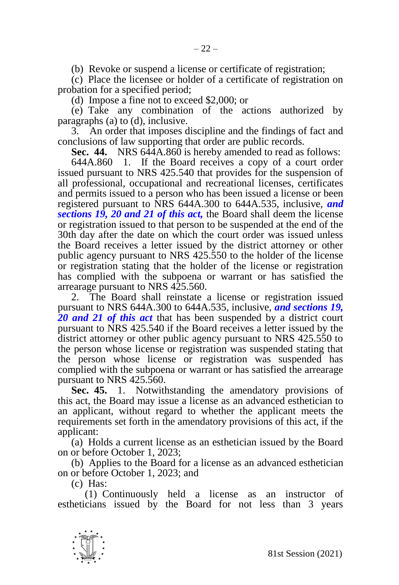(b) Revoke or suspend a license or certificate of registration;

(c) Place the licensee or holder of a certificate of registration on probation for a specified period;

(d) Impose a fine not to exceed \$2,000; or

(e) Take any combination of the actions authorized by paragraphs (a) to (d), inclusive.

3. An order that imposes discipline and the findings of fact and conclusions of law supporting that order are public records.

**Sec. 44.** NRS 644A.860 is hereby amended to read as follows:

644A.860 1. If the Board receives a copy of a court order issued pursuant to NRS 425.540 that provides for the suspension of all professional, occupational and recreational licenses, certificates and permits issued to a person who has been issued a license or been registered pursuant to NRS 644A.300 to 644A.535, inclusive, *and sections 19, 20 and 21 of this act,* the Board shall deem the license or registration issued to that person to be suspended at the end of the 30th day after the date on which the court order was issued unless the Board receives a letter issued by the district attorney or other public agency pursuant to NRS 425.550 to the holder of the license or registration stating that the holder of the license or registration has complied with the subpoena or warrant or has satisfied the arrearage pursuant to NRS 425.560.

2. The Board shall reinstate a license or registration issued pursuant to NRS 644A.300 to 644A.535, inclusive, *and sections 19, 20 and 21 of this act* that has been suspended by a district court pursuant to NRS 425.540 if the Board receives a letter issued by the district attorney or other public agency pursuant to NRS 425.550 to the person whose license or registration was suspended stating that the person whose license or registration was suspended has complied with the subpoena or warrant or has satisfied the arrearage pursuant to NRS 425.560.

**Sec. 45.** 1. Notwithstanding the amendatory provisions of this act, the Board may issue a license as an advanced esthetician to an applicant, without regard to whether the applicant meets the requirements set forth in the amendatory provisions of this act, if the applicant:

(a) Holds a current license as an esthetician issued by the Board on or before October 1, 2023;

(b) Applies to the Board for a license as an advanced esthetician on or before October 1, 2023; and

(c) Has:

(1) Continuously held a license as an instructor of estheticians issued by the Board for not less than 3 years

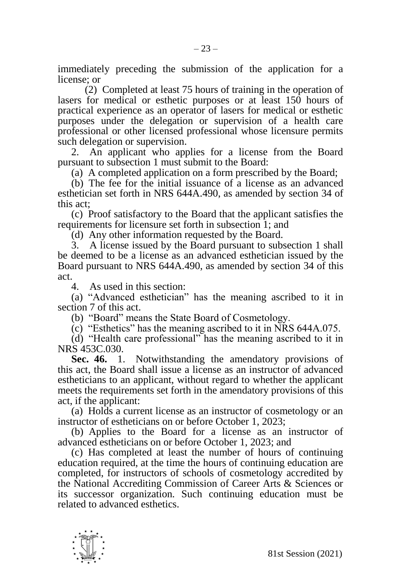immediately preceding the submission of the application for a license; or

(2) Completed at least 75 hours of training in the operation of lasers for medical or esthetic purposes or at least 150 hours of practical experience as an operator of lasers for medical or esthetic purposes under the delegation or supervision of a health care professional or other licensed professional whose licensure permits such delegation or supervision.

2. An applicant who applies for a license from the Board pursuant to subsection 1 must submit to the Board:

(a) A completed application on a form prescribed by the Board;

(b) The fee for the initial issuance of a license as an advanced esthetician set forth in NRS 644A.490, as amended by section 34 of this act;

(c) Proof satisfactory to the Board that the applicant satisfies the requirements for licensure set forth in subsection 1; and

(d) Any other information requested by the Board.

3. A license issued by the Board pursuant to subsection 1 shall be deemed to be a license as an advanced esthetician issued by the Board pursuant to NRS 644A.490, as amended by section 34 of this act.

4. As used in this section:

(a) "Advanced esthetician" has the meaning ascribed to it in section 7 of this act.

(b) "Board" means the State Board of Cosmetology.

(c) "Esthetics" has the meaning ascribed to it in NRS 644A.075.

(d) "Health care professional" has the meaning ascribed to it in NRS 453C.030.

**Sec. 46.** 1. Notwithstanding the amendatory provisions of this act, the Board shall issue a license as an instructor of advanced estheticians to an applicant, without regard to whether the applicant meets the requirements set forth in the amendatory provisions of this act, if the applicant:

(a) Holds a current license as an instructor of cosmetology or an instructor of estheticians on or before October 1, 2023;

(b) Applies to the Board for a license as an instructor of advanced estheticians on or before October 1, 2023; and

(c) Has completed at least the number of hours of continuing education required, at the time the hours of continuing education are completed, for instructors of schools of cosmetology accredited by the National Accrediting Commission of Career Arts & Sciences or its successor organization. Such continuing education must be related to advanced esthetics.